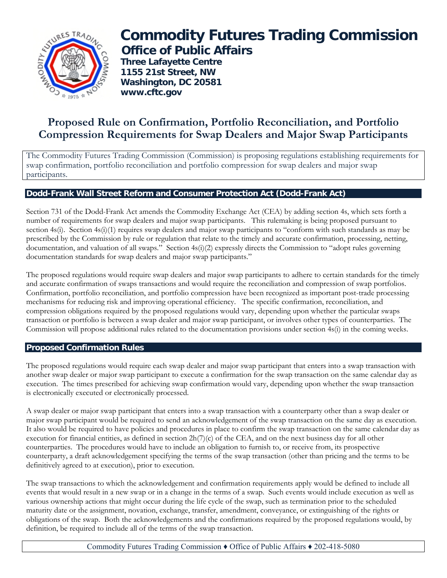

# **Commodity Futures Trading Commission Office of Public Affairs**

 **Three Lafayette Centre 1155 21st Street, NW Washington, DC 20581 www.cftc.gov**

## **Proposed Rule on Confirmation, Portfolio Reconciliation, and Portfolio Compression Requirements for Swap Dealers and Major Swap Participants**

The Commodity Futures Trading Commission (Commission) is proposing regulations establishing requirements for swap confirmation, portfolio reconciliation and portfolio compression for swap dealers and major swap participants.

### **Dodd-Frank Wall Street Reform and Consumer Protection Act (Dodd-Frank Act)**

Section 731 of the Dodd-Frank Act amends the Commodity Exchange Act (CEA) by adding section 4s, which sets forth a number of requirements for swap dealers and major swap participants. This rulemaking is being proposed pursuant to section 4s(i). Section 4s(i)(1) requires swap dealers and major swap participants to "conform with such standards as may be prescribed by the Commission by rule or regulation that relate to the timely and accurate confirmation, processing, netting, documentation, and valuation of all swaps." Section 4s(i)(2) expressly directs the Commission to "adopt rules governing documentation standards for swap dealers and major swap participants."

The proposed regulations would require swap dealers and major swap participants to adhere to certain standards for the timely and accurate confirmation of swaps transactions and would require the reconciliation and compression of swap portfolios. Confirmation, portfolio reconciliation, and portfolio compression have been recognized as important post-trade processing mechanisms for reducing risk and improving operational efficiency. The specific confirmation, reconciliation, and compression obligations required by the proposed regulations would vary, depending upon whether the particular swaps transaction or portfolio is between a swap dealer and major swap participant, or involves other types of counterparties. The Commission will propose additional rules related to the documentation provisions under section 4s(i) in the coming weeks.

#### **Proposed Confirmation Rules**

The proposed regulations would require each swap dealer and major swap participant that enters into a swap transaction with another swap dealer or major swap participant to execute a confirmation for the swap transaction on the same calendar day as execution. The times prescribed for achieving swap confirmation would vary, depending upon whether the swap transaction is electronically executed or electronically processed.

A swap dealer or major swap participant that enters into a swap transaction with a counterparty other than a swap dealer or major swap participant would be required to send an acknowledgement of the swap transaction on the same day as execution. It also would be required to have policies and procedures in place to confirm the swap transaction on the same calendar day as execution for financial entities, as defined in section  $2h(7)(c)$  of the CEA, and on the next business day for all other counterparties. The procedures would have to include an obligation to furnish to, or receive from, its prospective counterparty, a draft acknowledgement specifying the terms of the swap transaction (other than pricing and the terms to be definitively agreed to at execution), prior to execution.

The swap transactions to which the acknowledgement and confirmation requirements apply would be defined to include all events that would result in a new swap or in a change in the terms of a swap. Such events would include execution as well as various ownership actions that might occur during the life cycle of the swap, such as termination prior to the scheduled maturity date or the assignment, novation, exchange, transfer, amendment, conveyance, or extinguishing of the rights or obligations of the swap. Both the acknowledgements and the confirmations required by the proposed regulations would, by definition, be required to include all of the terms of the swap transaction.